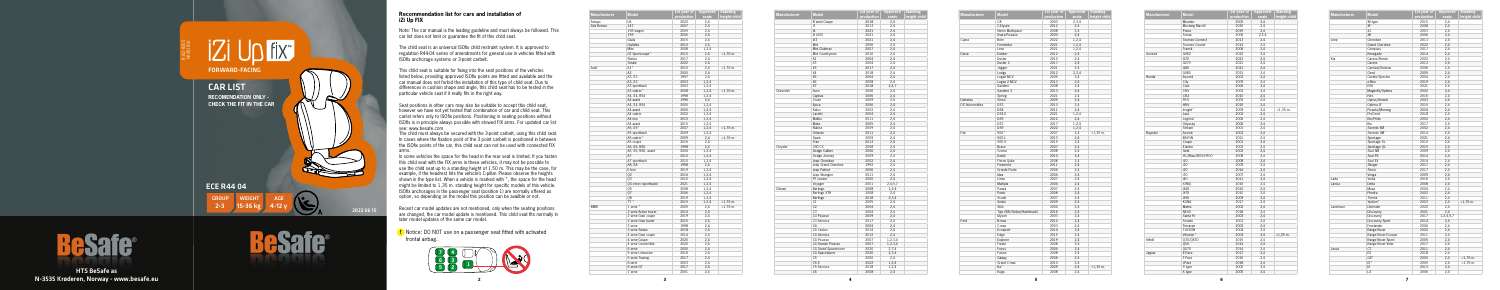**5**



B102-820C



HTS BeSafe as N-3535 Krøderen, Norway - www.besafe.eu

## **Recommendation list for cars and installation of iZi Up FIX**

**!** Notice: DO NOT use on a passenger seat fitted with activated frontal airbag.

**Manufacturer Model 1st year of** 

| <b>Manufacturer</b> | <b>Model</b>          | 1st year of | Approved | <b>Standing</b> |
|---------------------|-----------------------|-------------|----------|-----------------|
|                     |                       | production  | seats    | height child    |
| Aiways              | U <sub>5</sub>        | 2020        | 2,4      |                 |
| Alfa Romeo          | 147                   | 2007        | 2,4      |                 |
|                     | 156 wagon             | 2005        | 2,4      |                 |
|                     | 159                   | 2005        | 2,4      |                 |
|                     | Giulia                | 2015        | 2,4      |                 |
|                     | Giulietta             | 2010        | 2,4      |                 |
|                     | Mito                  | 2008        | 1,2,4    |                 |
|                     | GT Sportcoupe*        | 2010        | 2,4      | $<$ 1,35 m.     |
|                     | Stelvio               | 2017        | 2,4      |                 |
|                     | Tonale                | 2022        | 2.4      |                 |
| Audi                | A1*                   | 2010        | 2,4      | $<$ 1,35 m.     |
|                     | A2                    | 2000        | 2,4      |                 |
|                     | A3, S3                | 1997        | 2,4      |                 |
|                     | A3, S3                | 2003        | 1,2,4    |                 |
|                     | A3 sportback          | 2003        |          |                 |
|                     | A3 cabrio*            | 2008        | 1,2,4    | $<$ 1,35 m.     |
|                     |                       |             | 1,2,4    |                 |
|                     | A4, S4, RS4           | 1998        | 1,2,4    |                 |
|                     | A4 avant              | 1996        | 2,4      |                 |
|                     | A4, S4, RS4           | 2000        | 1,2,4    |                 |
|                     | A4 avant              | 2000        | 1,2,4    |                 |
|                     | A4 cabrio             | 2002        | 1,2,4    |                 |
|                     | A4 imo                | 2015        | 1,2,4    |                 |
|                     | A4 avant              | 2015        | 1,2,4    |                 |
|                     | A5, S5*               | 2007        | 1,2,4    | $<$ 1,35 m.     |
|                     | A5 sportback          | 2009        | 1,2,4    |                 |
|                     | A5 cabrio*            | 2009        | 2,4      | $<$ 1,35 m.     |
|                     | A5 coupe              | 2016        | 2,4      |                 |
|                     | A6, S6, RS6           | 1998        | 2,4      |                 |
|                     | A6, S6, RS6, avant    | 2004        | 1,2,4    |                 |
|                     | A7                    | 2010        | 1,2,4    |                 |
|                     | A7 sportback          | 2010        | 1,2,4    |                 |
|                     | A8, S8                | 1998        | 2,4      |                 |
|                     | E-tron                | 2019        | 1,2,4    |                 |
|                     | 02                    | 2016        | 1,2,4    |                 |
|                     | 03                    | 2010        | 1,2,4    |                 |
|                     | 04 e-tron (sportback) | 2021        | 1,2,4    |                 |
|                     | 05                    | 2008        | 1,2,4    |                 |
|                     | Q7                    | 2006        | 1,2,4    |                 |
|                     | Q8                    | 2019        | 1,2,4    |                 |
|                     | TT <sup>+</sup>       | 2015        | 1,2,4    | $<$ 1,35 m.     |
| <b>BMW</b>          | 1 serie *             | 2005        | 2,4      | $<$ 1,35 m.     |
|                     | 2 serie Active tourer | 2014        | 2,4      |                 |
|                     | 2 serie Gran coupe    | 2019        | 2,4      |                 |
|                     | 2 serie Gran tourer   | 2015        | 2,4      |                 |
|                     | 3 serie               | 1998        | 2,4      |                 |
|                     |                       | 2018        |          |                 |
|                     | 3 serie Sedan         |             | 2,4      |                 |
|                     | 4 serie Gran coupe    | 2014        | 2,4      |                 |
|                     | 4 serie Coupe         | 2020        | 2,4      |                 |
|                     | 4 serie Convertible   | 2020        | 2,4      |                 |
|                     | 5 serie               | 2000        | 2,4      |                 |
|                     | 5 serie Limousine     | 2016        | 2,4      |                 |
|                     | 5 serie Touring       | 2017        | 2,4      |                 |
|                     | 6-serie               | 2003        | 2,4      |                 |
|                     | 6 serie GT            | 2017        | 2,4      |                 |
|                     | 7 serie               | 2001        | 2,4      |                 |

| <b>Manufacturer</b> | <b>Model</b>         | 1st year of<br>production | Approved<br>seats | <b>Standing</b><br>height child |
|---------------------|----------------------|---------------------------|-------------------|---------------------------------|
|                     | 8 serie Coupe        | 2018                      | 2,4               |                                 |
|                     | i3                   | 2013                      | 2.4               |                                 |
|                     | 4                    | 2021                      | 2.4               |                                 |
|                     | iX (i20)             | 2021                      | 2,4               |                                 |
|                     | iX3                  | 2021                      | 2.4               |                                 |
|                     | Mini                 | 2006                      | 2,4               |                                 |
|                     | Mini Clubman         | 2007                      |                   |                                 |
|                     | Mini Countryman      | 2010                      | 2,4<br>2,4        |                                 |
|                     | X1                   | 2004                      |                   |                                 |
|                     | X <sub>3</sub>       | 2004                      | 2,4<br>2,4        |                                 |
|                     | X3                   | 2017                      | 2.4               |                                 |
|                     | X4                   | 2018                      |                   |                                 |
|                     | X <sub>5</sub>       |                           | 2,4               |                                 |
|                     | X6                   | 2004                      | 2,4               |                                 |
|                     | X7                   | 2008                      | 2,4               |                                 |
| Chevrolet           | Aveo                 | 2018<br>2006              | 2,4,7             |                                 |
|                     | Captiva              | 2006                      | 2,4<br>2,4        |                                 |
|                     |                      |                           |                   |                                 |
|                     | Cruze                | 2009                      | 2,4               |                                 |
|                     | Epica                | 2006                      | 2,4               |                                 |
|                     | Kalos                | 2002                      | 2,4               |                                 |
|                     | Lacetti              | 2004                      | 2,4               |                                 |
|                     | Malibu               | 2011                      | 2,4               |                                 |
|                     | Matiz                | 2005                      | 2,4               |                                 |
|                     | Nubira               | 2009                      | 2,4               |                                 |
|                     | Orlando              | 2011                      | 2.4               |                                 |
|                     | Spark                | 2009                      | 2,4               |                                 |
|                     | Trax                 | 2013                      | 2,4               |                                 |
| Chrysler            | 300 CC               | 2008                      | 2,4               |                                 |
|                     | Dodge Caliber        | 2006                      | 2,4               |                                 |
|                     | Dodge Journey        | 2009                      | 2,4               |                                 |
|                     | Jeep Cherokee        | 2002                      | 2,4               |                                 |
|                     | Jeep Grand Cherokee  | 1992                      | 2,4               |                                 |
|                     | Jeep Patriot         | 2006                      | 2,4               |                                 |
|                     | Jeep Wrangler        | 2011                      | 2,4               |                                 |
|                     | PT cruiser           | 2000                      | 2,4               |                                 |
|                     | Voyager              | 2001                      | 2,4,5,7           |                                 |
| Citroen             | Berlingo             | 2008                      | 1,2,4             |                                 |
|                     | <b>Berlingo XTR</b>  | 2008                      | 2,4               |                                 |
|                     | Berlingo             | 2018                      | 2,3,4             |                                 |
|                     | C1                   | 2005                      | 2,4               |                                 |
|                     | C <sub>2</sub>       | 2004                      | 2,4               |                                 |
|                     | C <sub>3</sub>       | 2004                      | 2,4               |                                 |
|                     | C3 Picasso           | 2009                      | 2,4               |                                 |
|                     | C3 Aircross          | 2017                      | 2,4               |                                 |
|                     | C <sub>4</sub>       | 2004                      | 2,4               |                                 |
|                     | C4 Cactus            | 2014                      | 2,4               |                                 |
|                     | C4 Aircross          | 2012                      | 2,4               |                                 |
|                     | C4 Picasso           | 2007                      | 1,2,3,4           |                                 |
|                     | C4 Grande Picasso    | 2007                      | 1,2,3,4           |                                 |
|                     | C4 Grand Spacetourer | 2020                      | 2,3,4             |                                 |
|                     | C4 Spacetourer       | 2020                      | 2,3,4             |                                 |
|                     | C <sub>5</sub>       | 2000                      | 2,4               |                                 |
|                     | C5X                  | 2022                      | 1,2,4             |                                 |
|                     | C5 Aircross          | 2018                      | 1,2,4             |                                 |
|                     | C <sub>6</sub>       | 2008                      | 2,4               |                                 |

| <b>Manufacturer</b>   | <b>Model</b>              | 1st year of<br>production | Approved<br>seats | <b>Standing</b><br>height child |
|-----------------------|---------------------------|---------------------------|-------------------|---------------------------------|
|                       | C <sub>8</sub>            | 2003                      | 2,3,4             |                                 |
|                       | C-Elysée                  | 2012                      | 2,4               |                                 |
|                       | Nemo Multispace           | 2008                      | 2,4               |                                 |
|                       | Xsara Picasso             | 2000                      | 2,4               |                                 |
|                       | Born                      | 2022                      |                   |                                 |
| Cupra                 | Formentor                 | 2021                      | 1,2,4             |                                 |
|                       | Leon                      | 2021                      | 1,2,4             |                                 |
|                       |                           |                           | 1,2,4             |                                 |
| Dacia                 | Dokker                    | 2012                      | 2,4               |                                 |
|                       | Duster                    | 2010                      | 2,4               |                                 |
|                       | Duster <sub>2</sub>       | 2017                      | 2,4               |                                 |
|                       | Jogger                    | 2021                      | 2.4               |                                 |
|                       | Lodgy                     | 2012                      | 2,3,4             |                                 |
|                       | Logan MCV                 | 2005                      | 2,4               |                                 |
|                       | Logan 2 MCV               | 2013                      | 2,4               |                                 |
|                       | Sandero                   | 2008                      | 2,4               |                                 |
|                       | Sandero <sub>2</sub>      | 2013                      | 2.4               |                                 |
|                       | Spring                    | 2021                      | 2.4               |                                 |
| Daihatsu              | Sirion                    | 2005                      | 2,4               |                                 |
| <b>DS Automobiles</b> | DS3                       | 2010                      | 2,4               |                                 |
|                       | DS4                       | 2011                      | 2,4               |                                 |
|                       | DS4 II                    | 2021                      | 1,2,4             |                                 |
|                       | DS <sub>5</sub>           | 2012                      | 2,4               |                                 |
|                       | DS7                       | 2017                      | 1,2,4             |                                 |
|                       | DS9                       | 2022                      | 1,2,4             |                                 |
| Fiat                  | 500*                      | 2007                      | 2,4               | $<$ 1,35 m.                     |
|                       | 500L                      | 2013                      | 2,4               |                                 |
|                       | 500 X                     | 2015                      | 2,4               |                                 |
|                       | Bravo                     | 2007                      | 2,4               |                                 |
|                       | Croma                     | 2008                      | 2,4               |                                 |
|                       | Doblò                     | 2010                      | 2,4               |                                 |
|                       | Fiorno Qubo               | 2008                      | 2,4               |                                 |
|                       |                           |                           |                   |                                 |
|                       | Freemont                  | 2011                      | 2,4               |                                 |
|                       | Grande Punto              | 2006                      | 2,4               |                                 |
|                       | Idea                      | 2004                      | 2,4               |                                 |
|                       | Linea                     | 2007                      | 2,4               |                                 |
|                       | Multipla                  | 2004                      | 2,4               |                                 |
|                       | Panda                     | 2007                      | 2,4               |                                 |
|                       | Punto                     | 2008                      | 2,4               |                                 |
|                       | Scudo                     | 2007                      | 2,4               |                                 |
|                       | Sedici                    | 2009                      | 2,4               |                                 |
|                       | Stilo                     | 2004                      | 2,4               |                                 |
|                       | Tipo (SW/Sedan/Hatchback) | 2016                      | 2,4               |                                 |
|                       | Ulysee                    | 2003                      | 2,4               |                                 |
| Ford                  | B-max                     | 2012                      | 2,4               |                                 |
|                       | C-max                     | 2003                      | 2,4               |                                 |
|                       | Ecosport                  | 2014                      | 2,4               |                                 |
|                       | Edge                      | 2015                      | 2,4               |                                 |
|                       | Explorer                  | 2019                      | 2,4               |                                 |
|                       | Fiesta                    | 2008                      | 2,4               |                                 |
|                       | Focus                     | 2004                      | 2,4               |                                 |
|                       | Fusion                    | 2008                      | 2,4               |                                 |
|                       | Galaxy                    | 2006                      | 2,4               |                                 |
|                       |                           |                           |                   |                                 |
|                       | Grand C-max               | 2010                      | 2,4               |                                 |
|                       | Ka*                       | 2009                      | 2,4               | $<$ 1,35 $m$ .                  |
|                       | Kuga                      | 2008                      | 2.4               |                                 |

| <b>Manufacturer</b> | <b>Model</b>      | 1st year of | <b>Appro</b> |
|---------------------|-------------------|-------------|--------------|
|                     |                   | production  | seat         |
|                     | Mondeo            | 2000        | 2,4          |
|                     | Mustang Mach-E    | 2020        | 2,4          |
|                     | Puma              | 2019        | 2,4          |
|                     | S-max             | 2006        | 2,3,         |
|                     | Tourneo Connect   | 2013        | 2,4          |
|                     | Tourneo Courier   | 2014        | 2,4          |
|                     | Transit           | 2006        | 2,4          |
| Genesis             | <b>GV60</b>       | 2022        | 2,4          |
|                     | G70               | 2021        | 2,4          |
|                     | <b>GV70</b>       | 2021        | 2,4          |
|                     | G80               | 2021        | 2,4          |
|                     | <b>GV80</b>       | 2021        | 2,4          |
| Honda               | Accord            | 2003        | 2,4          |
|                     | City              | 2009        | 2,4          |
|                     | Civic             | 2006        | 2,4          |
|                     | CR-V              | 2002        | 2,4          |
|                     | CR-Z              | 2010        |              |
|                     |                   |             | 2,4          |
|                     | FR-V              | 2005        | 2,4          |
|                     | HR-V              | 2015        | 2,4          |
|                     | Insight*          | 2009        | 2,4          |
|                     | Jazz              | 2002        | 2,4          |
|                     | Legend            | 2006        | 2,4          |
|                     | Odyssey           | 2006        | 2.4          |
|                     | Stream            | 2001        | 2,4          |
| Huyndai             | Accent            | 2002        | 2,4          |
|                     | <b>BAYON</b>      | 2021        | 2.4          |
|                     | Coupe             | 2001        | 2,4          |
|                     | Elantra           | 2002        | 2,4          |
|                     | Getz              | 2002        | 2,4          |
|                     | H1/iMax/i800/H300 | 2008        | 2,4          |
|                     | i10               | 2008        | 2,4          |
|                     | i20               | 2009        | 2,4          |
|                     | i20               | 2014        | 2,4          |
|                     | i30               | 2007        | 2,4          |
|                     | i40               | 2011        | 2,4          |
|                     | <b>IONIO</b>      | 2016        | 2,4          |
|                     | iX20              | 2010        | 2,4          |
|                     | iX35              | 2010        |              |
|                     |                   |             | 2,4          |
|                     | iX55              | 2009        | 2,4          |
|                     | KONA              | 2017        | 2,4          |
|                     | Matrix            | 2002        | 2,4          |
|                     | <b>NEXO</b>       | 2018        | 2,4          |
|                     | Santa Fe          | 2002        | 2,4          |
|                     | Sonata            | 2001        | 2,4          |
|                     | Terracan          | 2002        | 2,4          |
|                     | <b>TUCSON</b>     | 2004        | 2,4          |
|                     | Veloster*         | 2004        | 2,4          |
| Infiniti            | Q30/QX30          | 2015        | 2,4          |
|                     | 050               | 2014        | 2,4          |
|                     | QX70              | 2014        | 2,4          |
| Jaguar              | E-Pace            | 2017        | 2,4          |
|                     | F-Pace            | 2016        | 2,4          |
|                     | I-Pace            | 2018        | 2,4          |
|                     | S type            | 2002        | 2,4          |
|                     |                   |             |              |
|                     | X type            | 2005        | 2,4          |

**Contract Contract Contract Contract** 

| Model             | 1st year of<br>production | Approved<br>seats | <b>Standing</b><br>height child |
|-------------------|---------------------------|-------------------|---------------------------------|
| Mondeo            | 2000                      | 2,4               |                                 |
| Mustang Mach-E    | 2020                      | 2,4               |                                 |
| Puma              | 2019                      | 2,4               |                                 |
| S-max             | 2006                      | 2,3,4             |                                 |
| Tourneo Connect   | 2013                      | 2,4               |                                 |
| Tourneo Courier   | 2014                      | 2,4               |                                 |
| Transit           | 2006                      | 2,4               |                                 |
| GV60              | 2022                      | 2,4               |                                 |
| G70               | 2021                      | 2,4               |                                 |
| GV70              | 2021                      | 2,4               |                                 |
| G80               | 2021                      | 2,4               |                                 |
| GV80              | 2021                      | 2,4               |                                 |
| Accord            | 2003                      | 2,4               |                                 |
| City              | 2009                      | 2,4               |                                 |
| Civic             | 2006                      | 2,4               |                                 |
| CR-V              | 2002                      | 2,4               |                                 |
| CR-Z              | 2010                      | 2,4               |                                 |
|                   |                           |                   |                                 |
| FR-V              | 2005                      | 2,4               |                                 |
| HR-V              | 2015                      | 2,4               |                                 |
| Insight*          | 2009                      | 2,4               | $<$ 1,35 m.                     |
| Jazz              | 2002                      | 2,4               |                                 |
| Legend            | 2006                      | 2,4               |                                 |
| Odyssey           | 2006                      | 2.4               |                                 |
| Stream            | 2001                      | 2,4               |                                 |
| Accent            | 2002                      | 2,4               |                                 |
| BAYON             | 2021                      | 2.4               |                                 |
| Coupe             | 2001                      | 2,4               |                                 |
| Elantra           | 2002                      | 2,4               |                                 |
| Getz              | 2002                      | 2,4               |                                 |
| H1/iMax/i800/H300 | 2008                      | 2,4               |                                 |
| i10               | 2008                      | 2,4               |                                 |
| i20               | 2009                      | 2,4               |                                 |
| i20               | 2014                      | 2,4               |                                 |
| i30               | 2007                      | 2,4               |                                 |
| i40               | 2011                      | 2,4               |                                 |
| ionio             | 2016                      | 2,4               |                                 |
| iX20              | 2010                      | 2,4               |                                 |
| iX35              | 2010                      | 2,4               |                                 |
| iX55              | 2009                      | 2,4               |                                 |
| KONA              | 2017                      | 2,4               |                                 |
| Matrix            | 2002                      | 2,4               |                                 |
| NEXO              | 2018                      | 2,4               |                                 |
| Santa Fe          | 2002                      | 2,4               |                                 |
|                   |                           |                   |                                 |
| Sonata            | 2001                      | 2,4               |                                 |
| Terracan          | 2002                      | 2,4               |                                 |
| <b>TUCSON</b>     | 2004                      | 2,4               |                                 |
| Veloster*         | 2004                      | 2,4               | $<$ 1,35 $m$ .                  |
| Q30/QX30          | 2015                      | 2,4               |                                 |
| Q50               | 2014                      | 2,4               |                                 |
| QX70              | 2014                      | 2,4               |                                 |
| E-Pace            | 2017                      | 2,4               |                                 |
| F-Pace            | 2016                      | 2,4               |                                 |
| l-Pace            | 2018                      | 2,4               |                                 |
| S type            | 2002                      | 2,4               |                                 |
| X type            | 2005                      | 2.4               |                                 |

| production<br>seats<br>XE-type<br>2015<br>2,4<br>XF<br>2008<br>2,4<br>χJ<br>2003<br>2,4<br>XK<br>2006<br>2,4<br>Cherokee<br>2013<br>2,4<br>Jeep<br><b>Grand Cherokee</b><br>2022<br>2,4<br>2017<br>2,4<br>Compass<br>2014<br>Renegade<br>2,4<br>Kia<br>Carens/Rondo<br>2002<br>2,4<br>Carens<br>2013<br>2,4<br>Carnival/Sedona<br>2006<br>2.4<br>Ceed<br>2005<br>2,4<br>2004<br>Cerato/Spectra<br>2,4<br>e-Niro<br>2019<br>2,4<br>EV <sub>6</sub><br>2021<br>2.4<br>Magentis/Optima<br>2002<br>2,4<br>Niro<br>2016<br>2,4<br>Opirus/Amanti<br>2003<br>2,4<br>Optima JF<br>2015<br>2,4<br>Picanto/Morning<br>2,4<br>2004<br>ProCeed<br>2018<br>2,4<br>Rio/Pride<br>2002<br>2,4<br>Rio<br>2017<br>2,4<br>Sorento XM<br>2002<br>2,4<br>Sorento UM<br>2014<br>2,4<br>2021<br>2.4<br>Sportage<br>Sportage SL<br>2010<br>2,4 | <b>Manufacturer</b> | <b>Model</b> | 1st year of | <b>Approved</b> | <b>Standing</b> |
|------------------------------------------------------------------------------------------------------------------------------------------------------------------------------------------------------------------------------------------------------------------------------------------------------------------------------------------------------------------------------------------------------------------------------------------------------------------------------------------------------------------------------------------------------------------------------------------------------------------------------------------------------------------------------------------------------------------------------------------------------------------------------------------------------------------------|---------------------|--------------|-------------|-----------------|-----------------|
|                                                                                                                                                                                                                                                                                                                                                                                                                                                                                                                                                                                                                                                                                                                                                                                                                        |                     |              |             |                 | height child    |
|                                                                                                                                                                                                                                                                                                                                                                                                                                                                                                                                                                                                                                                                                                                                                                                                                        |                     |              |             |                 |                 |
|                                                                                                                                                                                                                                                                                                                                                                                                                                                                                                                                                                                                                                                                                                                                                                                                                        |                     |              |             |                 |                 |
|                                                                                                                                                                                                                                                                                                                                                                                                                                                                                                                                                                                                                                                                                                                                                                                                                        |                     |              |             |                 |                 |
|                                                                                                                                                                                                                                                                                                                                                                                                                                                                                                                                                                                                                                                                                                                                                                                                                        |                     |              |             |                 |                 |
|                                                                                                                                                                                                                                                                                                                                                                                                                                                                                                                                                                                                                                                                                                                                                                                                                        |                     |              |             |                 |                 |
|                                                                                                                                                                                                                                                                                                                                                                                                                                                                                                                                                                                                                                                                                                                                                                                                                        |                     |              |             |                 |                 |
|                                                                                                                                                                                                                                                                                                                                                                                                                                                                                                                                                                                                                                                                                                                                                                                                                        |                     |              |             |                 |                 |
|                                                                                                                                                                                                                                                                                                                                                                                                                                                                                                                                                                                                                                                                                                                                                                                                                        |                     |              |             |                 |                 |
|                                                                                                                                                                                                                                                                                                                                                                                                                                                                                                                                                                                                                                                                                                                                                                                                                        |                     |              |             |                 |                 |
|                                                                                                                                                                                                                                                                                                                                                                                                                                                                                                                                                                                                                                                                                                                                                                                                                        |                     |              |             |                 |                 |
|                                                                                                                                                                                                                                                                                                                                                                                                                                                                                                                                                                                                                                                                                                                                                                                                                        |                     |              |             |                 |                 |
|                                                                                                                                                                                                                                                                                                                                                                                                                                                                                                                                                                                                                                                                                                                                                                                                                        |                     |              |             |                 |                 |
|                                                                                                                                                                                                                                                                                                                                                                                                                                                                                                                                                                                                                                                                                                                                                                                                                        |                     |              |             |                 |                 |
|                                                                                                                                                                                                                                                                                                                                                                                                                                                                                                                                                                                                                                                                                                                                                                                                                        |                     |              |             |                 |                 |
|                                                                                                                                                                                                                                                                                                                                                                                                                                                                                                                                                                                                                                                                                                                                                                                                                        |                     |              |             |                 |                 |
|                                                                                                                                                                                                                                                                                                                                                                                                                                                                                                                                                                                                                                                                                                                                                                                                                        |                     |              |             |                 |                 |
|                                                                                                                                                                                                                                                                                                                                                                                                                                                                                                                                                                                                                                                                                                                                                                                                                        |                     |              |             |                 |                 |
|                                                                                                                                                                                                                                                                                                                                                                                                                                                                                                                                                                                                                                                                                                                                                                                                                        |                     |              |             |                 |                 |
|                                                                                                                                                                                                                                                                                                                                                                                                                                                                                                                                                                                                                                                                                                                                                                                                                        |                     |              |             |                 |                 |
|                                                                                                                                                                                                                                                                                                                                                                                                                                                                                                                                                                                                                                                                                                                                                                                                                        |                     |              |             |                 |                 |
|                                                                                                                                                                                                                                                                                                                                                                                                                                                                                                                                                                                                                                                                                                                                                                                                                        |                     |              |             |                 |                 |
|                                                                                                                                                                                                                                                                                                                                                                                                                                                                                                                                                                                                                                                                                                                                                                                                                        |                     |              |             |                 |                 |
|                                                                                                                                                                                                                                                                                                                                                                                                                                                                                                                                                                                                                                                                                                                                                                                                                        |                     |              |             |                 |                 |
|                                                                                                                                                                                                                                                                                                                                                                                                                                                                                                                                                                                                                                                                                                                                                                                                                        |                     |              |             |                 |                 |
|                                                                                                                                                                                                                                                                                                                                                                                                                                                                                                                                                                                                                                                                                                                                                                                                                        |                     |              |             |                 |                 |
|                                                                                                                                                                                                                                                                                                                                                                                                                                                                                                                                                                                                                                                                                                                                                                                                                        |                     |              |             |                 |                 |
|                                                                                                                                                                                                                                                                                                                                                                                                                                                                                                                                                                                                                                                                                                                                                                                                                        |                     |              |             |                 |                 |
|                                                                                                                                                                                                                                                                                                                                                                                                                                                                                                                                                                                                                                                                                                                                                                                                                        |                     | Sportage OL  | 2015        | 2,4             |                 |
| Soul AM<br>2009<br>2,4                                                                                                                                                                                                                                                                                                                                                                                                                                                                                                                                                                                                                                                                                                                                                                                                 |                     |              |             |                 |                 |
| Soul PS<br>2014<br>2,4                                                                                                                                                                                                                                                                                                                                                                                                                                                                                                                                                                                                                                                                                                                                                                                                 |                     |              |             |                 |                 |
| Soul EV<br>2,4<br>2014                                                                                                                                                                                                                                                                                                                                                                                                                                                                                                                                                                                                                                                                                                                                                                                                 |                     |              |             |                 |                 |
| Stinger<br>2017<br>2,4                                                                                                                                                                                                                                                                                                                                                                                                                                                                                                                                                                                                                                                                                                                                                                                                 |                     |              |             |                 |                 |
| Stonic<br>2017<br>2,4                                                                                                                                                                                                                                                                                                                                                                                                                                                                                                                                                                                                                                                                                                                                                                                                  |                     |              |             |                 |                 |
| Venga<br>2009<br>2,4                                                                                                                                                                                                                                                                                                                                                                                                                                                                                                                                                                                                                                                                                                                                                                                                   |                     |              |             |                 |                 |
| Lada<br>Vesta<br>2016<br>2,4                                                                                                                                                                                                                                                                                                                                                                                                                                                                                                                                                                                                                                                                                                                                                                                           |                     |              |             |                 |                 |
| 2,4<br>Lancia<br>Delta<br>2008                                                                                                                                                                                                                                                                                                                                                                                                                                                                                                                                                                                                                                                                                                                                                                                         |                     |              |             |                 |                 |
| Musa<br>2004<br>2,4                                                                                                                                                                                                                                                                                                                                                                                                                                                                                                                                                                                                                                                                                                                                                                                                    |                     |              |             |                 |                 |
| Phedra<br>2002<br>2,4                                                                                                                                                                                                                                                                                                                                                                                                                                                                                                                                                                                                                                                                                                                                                                                                  |                     |              |             |                 |                 |
| Thema<br>2011<br>2,4                                                                                                                                                                                                                                                                                                                                                                                                                                                                                                                                                                                                                                                                                                                                                                                                   |                     |              |             |                 |                 |
| Ypsilon*<br>2003<br>2,4<br>$<$ 1,35 $m$ .                                                                                                                                                                                                                                                                                                                                                                                                                                                                                                                                                                                                                                                                                                                                                                              |                     |              |             |                 |                 |
| Landrover<br>Defender<br>2020<br>2,4                                                                                                                                                                                                                                                                                                                                                                                                                                                                                                                                                                                                                                                                                                                                                                                   |                     |              |             |                 |                 |
| Discovery<br>2001<br>2,4                                                                                                                                                                                                                                                                                                                                                                                                                                                                                                                                                                                                                                                                                                                                                                                               |                     |              |             |                 |                 |
| 2017<br>1,2,4,5,7<br>Discovery                                                                                                                                                                                                                                                                                                                                                                                                                                                                                                                                                                                                                                                                                                                                                                                         |                     |              |             |                 |                 |
| Discovery Sport<br>2014<br>2,4                                                                                                                                                                                                                                                                                                                                                                                                                                                                                                                                                                                                                                                                                                                                                                                         |                     |              |             |                 |                 |
| Freelander<br>2006<br>2,4                                                                                                                                                                                                                                                                                                                                                                                                                                                                                                                                                                                                                                                                                                                                                                                              |                     |              |             |                 |                 |
| Range Rover<br>2002<br>2,4                                                                                                                                                                                                                                                                                                                                                                                                                                                                                                                                                                                                                                                                                                                                                                                             |                     |              |             |                 |                 |
| Range Rover Evoque<br>2011<br>2,4                                                                                                                                                                                                                                                                                                                                                                                                                                                                                                                                                                                                                                                                                                                                                                                      |                     |              |             |                 |                 |
| Range Rover Sport<br>2005<br>2,4                                                                                                                                                                                                                                                                                                                                                                                                                                                                                                                                                                                                                                                                                                                                                                                       |                     |              |             |                 |                 |
| 2017<br>Range Rover Velar<br>2,4                                                                                                                                                                                                                                                                                                                                                                                                                                                                                                                                                                                                                                                                                                                                                                                       |                     |              |             |                 |                 |
| <b>CT</b><br>2011<br>2,4<br>Lexus                                                                                                                                                                                                                                                                                                                                                                                                                                                                                                                                                                                                                                                                                                                                                                                      |                     |              |             |                 |                 |
| ES<br>2018<br>2,4                                                                                                                                                                                                                                                                                                                                                                                                                                                                                                                                                                                                                                                                                                                                                                                                      |                     |              |             |                 |                 |
| GS*<br>2,4<br>2000<br>$< 1.35$ m.                                                                                                                                                                                                                                                                                                                                                                                                                                                                                                                                                                                                                                                                                                                                                                                      |                     |              |             |                 |                 |
| $IS^*$<br>2005<br>2,4<br>$<$ 1,35 m.                                                                                                                                                                                                                                                                                                                                                                                                                                                                                                                                                                                                                                                                                                                                                                                   |                     |              |             |                 |                 |
| IS<br>2013<br>2,4                                                                                                                                                                                                                                                                                                                                                                                                                                                                                                                                                                                                                                                                                                                                                                                                      |                     |              |             |                 |                 |
| LS<br>2006<br>2,4                                                                                                                                                                                                                                                                                                                                                                                                                                                                                                                                                                                                                                                                                                                                                                                                      |                     |              |             |                 |                 |

Note: The car manual is the leading guideline and must always be followed. This car list does not limit or guarantee the fit of this child seat.

The child seat is an universal ISOfix child restraint system. It is approved to regulation R44-04 series of amendments for general use in vehicles fitted with ISOfix anchorage systems or 3-point carbelt.

This child seat is suitable for fixing into the seat positions of the vehicles listed below, providing approved ISOfix points are fitted and available and the car manual does not forbid the installation of this type of child seat. Due to differences in cushion shape and angle, this child seat has to be tested in the particular vehicle seat if it really fits in the right way.

Seat positions in other cars may also be suitable to accept this child seat, however we have not yet tested that combination of car and child seat. This carlist refers only to ISOfix positions. Positioning in seating positions without ISOfix is in principle always possible with stowed FIX arms. For updated car list see: www.besafe.com

The child must always be secured with the 3-point carbelt, using this child seat. In cases where the fixation point of the 3 point carbelt is positioned in between the ISOfix points of the car, this child seat can not be used with connected FIX arms.

In some vehicles the space for the head in the rear seat is limited. If you fasten this child seat with the FIX arms in these vehicles, it may not be possible to use the child seat up to a standing height of 1.50 m. This may be the case, for example, if the headrest hits the vehicle's C-pillar. Please observe the heights shown in the type list. When a vehicle is marked with \*, the space for the head might be limited to 1,35 m. standing height for specific models of this vehicle. ISOfix anchorages in the passenger seat (position 1) are normally offered as option, so depending on the model this position can be availble or not.

Recent car model updates are not mentioned, only when the seating positions are changed, the car model update is mentioned. This child seat fits normally in later model updates of the same car model.